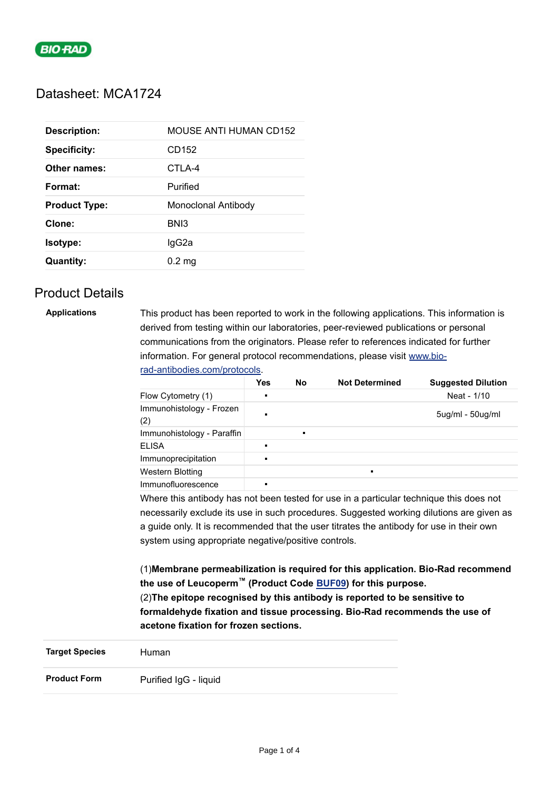

## Datasheet: MCA1724

| <b>Description:</b>  | <b>MOUSE ANTI HUMAN CD152</b> |
|----------------------|-------------------------------|
| <b>Specificity:</b>  | CD <sub>152</sub>             |
| Other names:         | CTLA-4                        |
| Format:              | Purified                      |
| <b>Product Type:</b> | Monoclonal Antibody           |
| Clone:               | BN <sub>13</sub>              |
| <b>Isotype:</b>      | lgG2a                         |
| <b>Quantity:</b>     | $0.2 \text{ mg}$              |

# Product Details

**Applications** This product has been reported to work in the following applications. This information is derived from testing within our laboratories, peer-reviewed publications or personal communications from the originators. Please refer to references indicated for further information. For general protocol recommendations, please visit [www.bio](https://www.bio-rad-antibodies.com/protocols)rad-antibodies.com/protocols.

|                                 | Yes | <b>No</b>      | <b>Not Determined</b> | <b>Suggested Dilution</b> |
|---------------------------------|-----|----------------|-----------------------|---------------------------|
| Flow Cytometry (1)              | п   |                |                       | Neat - 1/10               |
| Immunohistology - Frozen<br>(2) | п   |                |                       | $5$ ug/ml - $50$ ug/ml    |
| Immunohistology - Paraffin      |     | $\blacksquare$ |                       |                           |
| <b>ELISA</b>                    | г   |                |                       |                           |
| Immunoprecipitation             | г   |                |                       |                           |
| Western Blotting                |     |                | п                     |                           |
| Immunofluorescence              | г   |                |                       |                           |

Where this antibody has not been tested for use in a particular technique this does not necessarily exclude its use in such procedures. Suggested working dilutions are given as a guide only. It is recommended that the user titrates the antibody for use in their own system using appropriate negative/positive controls.

(1)**Membrane permeabilization is required for this application. Bio-Rad recommend the use of Leucoperm™ (Product Code [BUF09\)](https://www.bio-rad-antibodies.com/leucoperm-accessory-reagent-buf09.html) for this purpose.** (2)**The epitope recognised by this antibody is reported to be sensitive to formaldehyde fixation and tissue processing. Bio-Rad recommends the use of acetone fixation for frozen sections.**

| <b>Target Species</b> | Human                 |  |
|-----------------------|-----------------------|--|
| <b>Product Form</b>   | Purified IgG - liquid |  |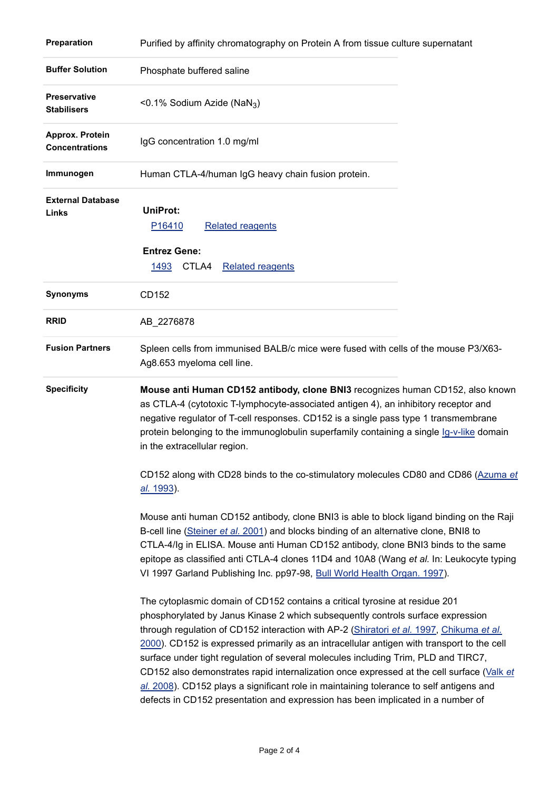| Preparation                               | Purified by affinity chromatography on Protein A from tissue culture supernatant                                                                                                                                                                                                                                                                                                                                                                                                                                                                                                                                                       |
|-------------------------------------------|----------------------------------------------------------------------------------------------------------------------------------------------------------------------------------------------------------------------------------------------------------------------------------------------------------------------------------------------------------------------------------------------------------------------------------------------------------------------------------------------------------------------------------------------------------------------------------------------------------------------------------------|
| <b>Buffer Solution</b>                    | Phosphate buffered saline                                                                                                                                                                                                                                                                                                                                                                                                                                                                                                                                                                                                              |
| <b>Preservative</b><br><b>Stabilisers</b> | <0.1% Sodium Azide (NaN <sub>3</sub> )                                                                                                                                                                                                                                                                                                                                                                                                                                                                                                                                                                                                 |
| Approx. Protein<br><b>Concentrations</b>  | IgG concentration 1.0 mg/ml                                                                                                                                                                                                                                                                                                                                                                                                                                                                                                                                                                                                            |
| Immunogen                                 | Human CTLA-4/human IgG heavy chain fusion protein.                                                                                                                                                                                                                                                                                                                                                                                                                                                                                                                                                                                     |
| <b>External Database</b><br>Links         | <b>UniProt:</b><br>P16410<br><b>Related reagents</b><br><b>Entrez Gene:</b><br>1493<br>CTLA4<br><b>Related reagents</b>                                                                                                                                                                                                                                                                                                                                                                                                                                                                                                                |
| Synonyms                                  | CD152                                                                                                                                                                                                                                                                                                                                                                                                                                                                                                                                                                                                                                  |
| <b>RRID</b>                               | AB_2276878                                                                                                                                                                                                                                                                                                                                                                                                                                                                                                                                                                                                                             |
| <b>Fusion Partners</b>                    | Spleen cells from immunised BALB/c mice were fused with cells of the mouse P3/X63-<br>Ag8.653 myeloma cell line.                                                                                                                                                                                                                                                                                                                                                                                                                                                                                                                       |
| <b>Specificity</b>                        | Mouse anti Human CD152 antibody, clone BNI3 recognizes human CD152, also known<br>as CTLA-4 (cytotoxic T-lymphocyte-associated antigen 4), an inhibitory receptor and<br>negative regulator of T-cell responses. CD152 is a single pass type 1 transmembrane<br>protein belonging to the immunoglobulin superfamily containing a single Ig-v-like domain<br>in the extracellular region.                                                                                                                                                                                                                                               |
|                                           | CD152 along with CD28 binds to the co-stimulatory molecules CD80 and CD86 (Azuma et<br>al. 1993).                                                                                                                                                                                                                                                                                                                                                                                                                                                                                                                                      |
|                                           | Mouse anti human CD152 antibody, clone BNI3 is able to block ligand binding on the Raji<br>B-cell line (Steiner et al. 2001) and blocks binding of an alternative clone, BNI8 to<br>CTLA-4/Ig in ELISA. Mouse anti Human CD152 antibody, clone BNI3 binds to the same<br>epitope as classified anti CTLA-4 clones 11D4 and 10A8 (Wang et al. In: Leukocyte typing<br>VI 1997 Garland Publishing Inc. pp97-98, Bull World Health Organ. 1997).                                                                                                                                                                                          |
|                                           | The cytoplasmic domain of CD152 contains a critical tyrosine at residue 201<br>phosphorylated by Janus Kinase 2 which subsequently controls surface expression<br>through regulation of CD152 interaction with AP-2 (Shiratori et al. 1997, Chikuma et al.<br>2000). CD152 is expressed primarily as an intracellular antigen with transport to the cell<br>surface under tight regulation of several molecules including Trim, PLD and TIRC7,<br>CD152 also demonstrates rapid internalization once expressed at the cell surface (Valk et<br>al. 2008). CD152 plays a significant role in maintaining tolerance to self antigens and |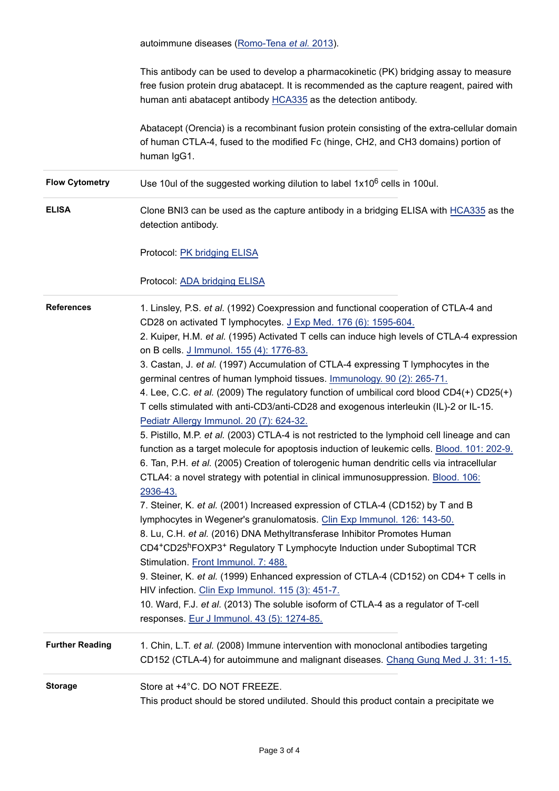autoimmune diseases [\(Romo-Tena](http://www.ncbi.nlm.nih.gov/pubmed/23851140) *et al.* 2013). This antibody can be used to develop a pharmacokinetic (PK) bridging assay to measure free fusion protein drug abatacept. It is recommended as the capture reagent, paired with human anti abatacept antibody [HCA335 a](https://www.bio-rad-antibodies.com/product/partnumber/HCA335.html)s the detection antibody. Abatacept (Orencia) is a recombinant fusion protein consisting of the extra-cellular domain of human CTLA-4, fused to the modified Fc (hinge, CH2, and CH3 domains) portion of human IgG1. Flow Cytometry **Doce 10ul of the suggested working dilution to label 1x10<sup>6</sup> cells in 100ul. ELISA** Clone BNI3 can be used as the capture antibody in a bridging ELISA with [HCA335](https://www.bio-rad-antibodies.com/product/partnumber/HCA335.html) as the detection antibody. Protocol: [PK bridging ELISA](https://www.bio-rad-antibodies.com/protocol-pk-bridging-elisa-abatacept-antibodies.html) Protocol: [ADA bridging ELISA](https://www.bio-rad-antibodies.com/protocol-ada-bridging-elisa-anti-abatacept-antibodies.html) **References** 1. Linsley, P.S. *et al.* (1992) Coexpression and functional cooperation of CTLA-4 and CD28 on activated T lymphocytes. [J Exp Med. 176 \(6\): 1595-604.](http://www.ncbi.nlm.nih.gov/pubmed/1334116) 2. Kuiper, H.M. *et al.* (1995) Activated T cells can induce high levels of CTLA-4 expression on B cells. [J Immunol. 155 \(4\): 1776-83.](http://www.ncbi.nlm.nih.gov/pubmed/7543532) 3. Castan, J. *et al.* (1997) Accumulation of CTLA-4 expressing T lymphocytes in the germinal centres of human lymphoid tissues. [Immunology. 90 \(2\): 265-71.](http://www.ncbi.nlm.nih.gov/pubmed/9135556) 4. Lee, C.C. *et al.* (2009) The regulatory function of umbilical cord blood CD4(+) CD25(+) T cells stimulated with anti-CD3/anti-CD28 and exogenous interleukin (IL)-2 or IL-15. [Pediatr Allergy Immunol. 20 \(7\): 624-32.](http://www.ncbi.nlm.nih.gov/pubmed/19302176) 5. Pistillo, M.P. *et al.* (2003) CTLA-4 is not restricted to the lymphoid cell lineage and can function as a target molecule for apoptosis induction of leukemic cells. [Blood. 101: 202-9.](http://www.ncbi.nlm.nih.gov/pubmed/12393538) 6. Tan, P.H. *et al.* (2005) Creation of tolerogenic human dendritic cells via intracellular CTLA4: a novel strategy with potential in clinical immunosuppression. [Blood. 106:](http://www.ncbi.nlm.nih.gov/pubmed/15994283) 2936-43. 7. Steiner, K. *et al.* (2001) Increased expression of CTLA-4 (CD152) by T and B lymphocytes in Wegener's granulomatosis. [Clin Exp Immunol. 126: 143-50.](http://www.ncbi.nlm.nih.gov/pubmed/11678911) 8. Lu, C.H. *et al.* (2016) DNA Methyltransferase Inhibitor Promotes Human CD4+CD25hFOXP3+ Regulatory T Lymphocyte Induction under Suboptimal TCR Stimulation. [Front Immunol. 7: 488.](http://www.ncbi.nlm.nih.gov/pubmed/27877174) 9. Steiner, K. *et al.* (1999) Enhanced expression of CTLA-4 (CD152) on CD4+ T cells in HIV infection. [Clin Exp Immunol. 115 \(3\): 451-7.](http://www.ncbi.nlm.nih.gov/pubmed/10193417) 10. Ward, F.J. *et al.* (2013) The soluble isoform of CTLA-4 as a regulator of T-cell responses. [Eur J Immunol. 43 \(5\): 1274-85.](http://www.ncbi.nlm.nih.gov/pubmed/23400950) **Further Reading** 1. Chin, L.T. *et al.* (2008) Immune intervention with monoclonal antibodies targeting CD152 (CTLA-4) for autoimmune and malignant diseases. [Chang Gung Med J. 31: 1-15.](http://www.ncbi.nlm.nih.gov/pubmed/18419049) **Storage** Store at +4°C. DO NOT FREEZE. This product should be stored undiluted. Should this product contain a precipitate we